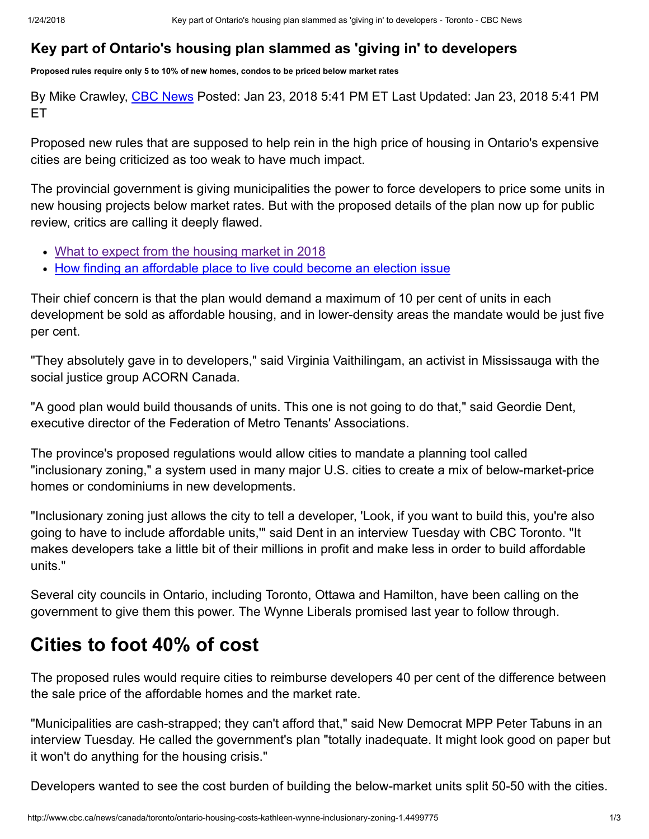## Key part of Ontario's housing plan slammed as 'giving in' to developers

Proposed rules require only 5 to 10% of new homes, condos to be priced below market rates

By Mike Crawley, CBC [News](http://www.cbc.ca/news/cbc-news-online-news-staff-list-1.1294364) Posted: Jan 23, 2018 5:41 PM ET Last Updated: Jan 23, 2018 5:41 PM ET

Proposed new rules that are supposed to help rein in the high price of housing in Ontario's expensive cities are being criticized as too weak to have much impact.

The provincial government is giving municipalities the power to force developers to price some units in new housing projects below market rates. But with the proposed details of the plan now up for public review, critics are calling it deeply flawed.

- What to expect from the [housing](http://www.cbc.ca/news/business/real-estate-trends-1.4460775) market in 2018
- How finding an [affordable](http://www.cbc.ca/news/canada/toronto/could-finding-an-affordable-place-to-live-be-the-election-issue-of-2018-1.4159206) place to live could become an election issue

Their chief concern is that the plan would demand a maximum of 10 per cent of units in each development be sold as affordable housing, and in lower-density areas the mandate would be just five per cent.

"They absolutely gave in to developers," said Virginia Vaithilingam, an activist in Mississauga with the social justice group ACORN Canada.

"A good plan would build thousands of units. This one is not going to do that," said Geordie Dent, executive director of the Federation of Metro Tenants' Associations.

The province's proposed regulations would allow cities to mandate a planning tool called "inclusionary zoning," a system used in many major U.S. cities to create a mix of below-market-price homes or condominiums in new developments.

"Inclusionary zoning just allows the city to tell a developer, 'Look, if you want to build this, you're also going to have to include affordable units,'" said Dent in an interview Tuesday with CBC Toronto. "It makes developers take a little bit of their millions in profit and make less in order to build affordable units."

Several city councils in Ontario, including Toronto, Ottawa and Hamilton, have been calling on the government to give them this power. The Wynne Liberals promised last year to follow through.

## Cities to foot 40% of cost

The proposed rules would require cities to reimburse developers 40 per cent of the difference between the sale price of the affordable homes and the market rate.

"Municipalities are cash-strapped; they can't afford that," said New Democrat MPP Peter Tabuns in an interview Tuesday. He called the government's plan "totally inadequate. It might look good on paper but it won't do anything for the housing crisis."

Developers wanted to see the cost burden of building the below-market units split 50-50 with the cities.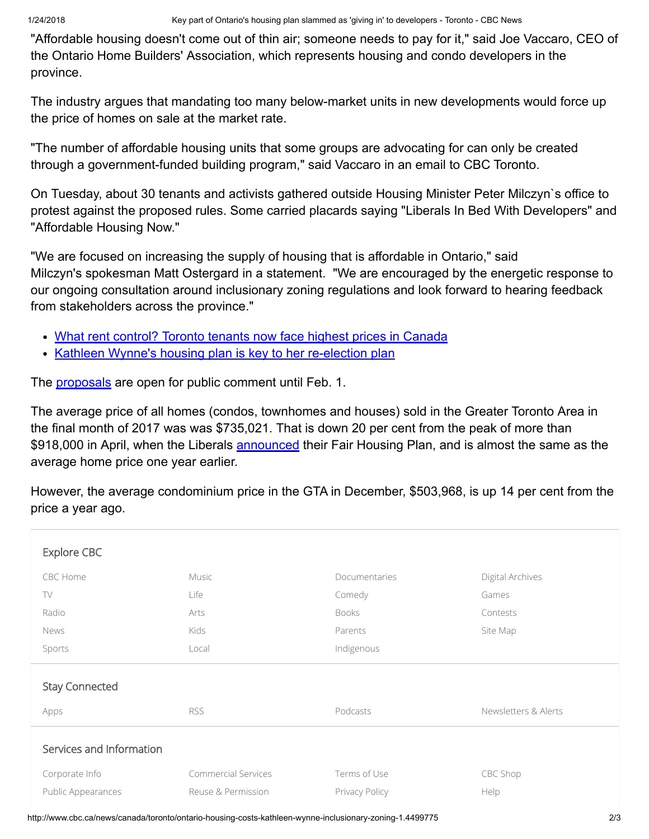"Affordable housing doesn't come out of thin air; someone needs to pay for it," said Joe Vaccaro, CEO of the Ontario Home Builders' Association, which represents housing and condo developers in the province.

The industry argues that mandating too many below-market units in new developments would force up the price of homes on sale at the market rate.

"The number of affordable housing units that some groups are advocating for can only be created through a government-funded building program," said Vaccaro in an email to CBC Toronto.

On Tuesday, about 30 tenants and activists gathered outside Housing Minister Peter Milczyn`s office to protest against the proposed rules. Some carried placards saying "Liberals In Bed With Developers" and "Affordable Housing Now."

"We are focused on increasing the supply of housing that is affordable in Ontario," said Milczyn's spokesman Matt Ostergard in a statement. "We are encouraged by the energetic response to our ongoing consultation around inclusionary zoning regulations and look forward to hearing feedback from stakeholders across the province."

- What rent [control?](http://cbc.ca/1.4491949) Toronto tenants now face highest prices in Canada
- Kathleen Wynne's housing plan is key to her [re-election](http://cbc.ca/1.4077626) plan

The [proposals](http://www.ebr.gov.on.ca/ERS-WEB-External/displaynoticecontent.do?noticeId=MTM0MDk1&statusId=MjAzOTg2&language=en&language=en) are open for public comment until Feb. 1.

The average price of all homes (condos, townhomes and houses) sold in the Greater Toronto Area in the final month of 2017 was was \$735,021. That is down 20 per cent from the peak of more than \$918,000 in April, when the Liberals [announced](http://www.cbc.ca/news/canada/toronto/wynne-housing-market-1.4077094) their Fair Housing Plan, and is almost the same as the average home price one year earlier.

However, the average condominium price in the GTA in December, \$503,968, is up 14 per cent from the price a year ago.

| Explore CBC              |                     |               |                      |
|--------------------------|---------------------|---------------|----------------------|
| CBC Home                 | Music               | Documentaries | Digital Archives     |
| TV                       | Life                | Comedy        | Games                |
| Radio                    | Arts                | <b>Books</b>  | Contests             |
| News                     | Kids                | Parents       | Site Map             |
| Sports                   | Local               | Indigenous    |                      |
|                          |                     |               |                      |
| <b>Stay Connected</b>    |                     |               |                      |
| Apps                     | <b>RSS</b>          | Podcasts      | Newsletters & Alerts |
| Services and Information |                     |               |                      |
|                          |                     |               |                      |
| Corporate Info           | Commercial Services | Terms of Use  | CBC Shop             |